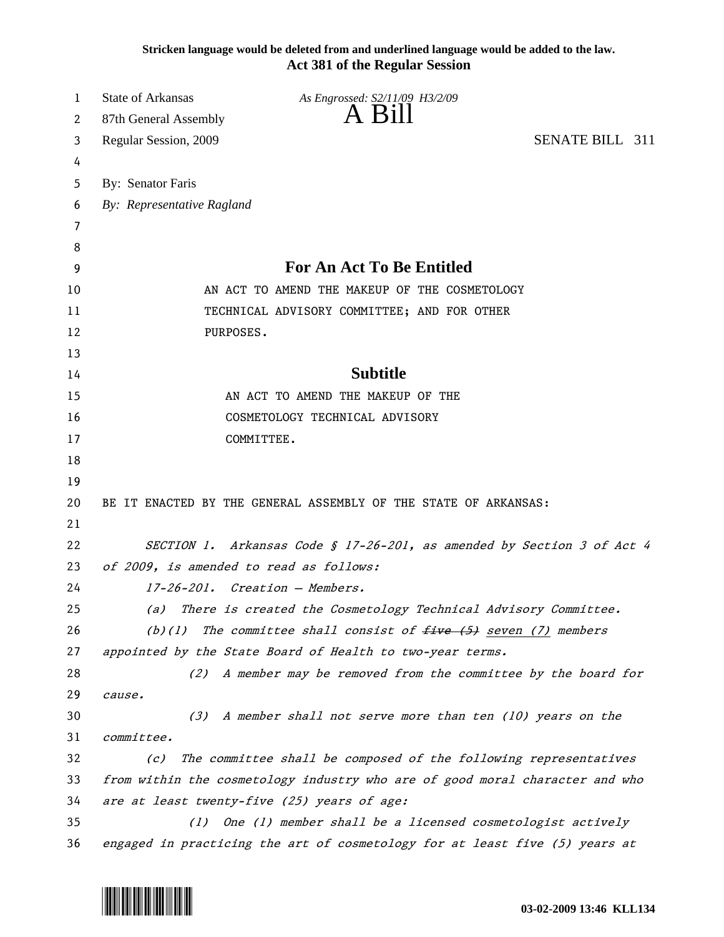**Stricken language would be deleted from and underlined language would be added to the law. Act 381 of the Regular Session**

| 1        | <b>State of Arkansas</b>                                                     | As Engrossed: S2/11/09 H3/2/09                                                                                                                  |  |  |
|----------|------------------------------------------------------------------------------|-------------------------------------------------------------------------------------------------------------------------------------------------|--|--|
| 2        | 87th General Assembly                                                        | $A$ B <sub>1</sub> $\parallel$                                                                                                                  |  |  |
| 3        | SENATE BILL 311<br>Regular Session, 2009                                     |                                                                                                                                                 |  |  |
| 4        |                                                                              |                                                                                                                                                 |  |  |
| 5        | By: Senator Faris                                                            |                                                                                                                                                 |  |  |
| 6        | By: Representative Ragland                                                   |                                                                                                                                                 |  |  |
| 7        |                                                                              |                                                                                                                                                 |  |  |
| 8        |                                                                              |                                                                                                                                                 |  |  |
| 9        | <b>For An Act To Be Entitled</b>                                             |                                                                                                                                                 |  |  |
| 10       |                                                                              | AN ACT TO AMEND THE MAKEUP OF THE COSMETOLOGY                                                                                                   |  |  |
| 11       | TECHNICAL ADVISORY COMMITTEE; AND FOR OTHER                                  |                                                                                                                                                 |  |  |
| 12       | PURPOSES.                                                                    |                                                                                                                                                 |  |  |
| 13       |                                                                              |                                                                                                                                                 |  |  |
| 14       | <b>Subtitle</b>                                                              |                                                                                                                                                 |  |  |
| 15       |                                                                              | AN ACT TO AMEND THE MAKEUP OF THE                                                                                                               |  |  |
| 16       | COSMETOLOGY TECHNICAL ADVISORY                                               |                                                                                                                                                 |  |  |
| 17       |                                                                              | COMMITTEE.                                                                                                                                      |  |  |
| 18       |                                                                              |                                                                                                                                                 |  |  |
| 19       |                                                                              |                                                                                                                                                 |  |  |
| 20       | BE IT ENACTED BY THE GENERAL ASSEMBLY OF THE STATE OF ARKANSAS:              |                                                                                                                                                 |  |  |
| 21       |                                                                              |                                                                                                                                                 |  |  |
| 22       | SECTION 1. Arkansas Code § 17-26-201, as amended by Section 3 of Act 4       |                                                                                                                                                 |  |  |
| 23       | of 2009, is amended to read as follows:                                      |                                                                                                                                                 |  |  |
| 24       | 17-26-201. Creation - Members.                                               |                                                                                                                                                 |  |  |
| 25       | There is created the Cosmetology Technical Advisory Committee.<br>(a)        |                                                                                                                                                 |  |  |
| 26       | The committee shall consist of $five (5)$ seven (7) members<br>(b)(1)        |                                                                                                                                                 |  |  |
| 27       | appointed by the State Board of Health to two-year terms.                    |                                                                                                                                                 |  |  |
| 28       | (2)                                                                          | A member may be removed from the committee by the board for                                                                                     |  |  |
| 29       | cause.                                                                       |                                                                                                                                                 |  |  |
| 30       | A member shall not serve more than ten (10) years on the<br>(3)              |                                                                                                                                                 |  |  |
| 31       | committee.                                                                   |                                                                                                                                                 |  |  |
| 32       | The committee shall be composed of the following representatives<br>(c)      |                                                                                                                                                 |  |  |
| 33<br>34 | from within the cosmetology industry who are of good moral character and who |                                                                                                                                                 |  |  |
| 35       | are at least twenty-five (25) years of age:                                  |                                                                                                                                                 |  |  |
| 36       |                                                                              | One (1) member shall be a licensed cosmetologist actively<br>(1)<br>engaged in practicing the art of cosmetology for at least five (5) years at |  |  |
|          |                                                                              |                                                                                                                                                 |  |  |